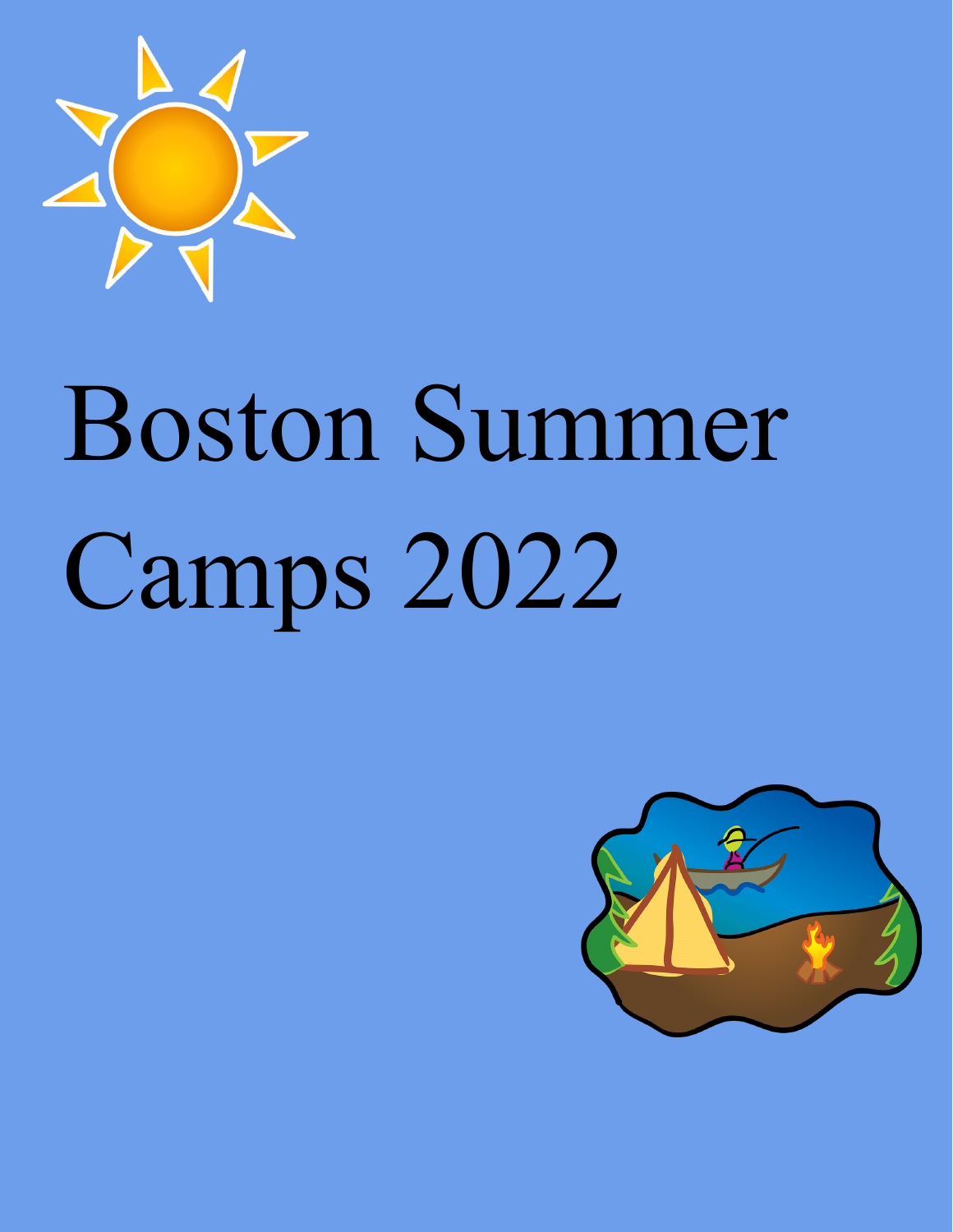

# Boston Summer Camps 2022

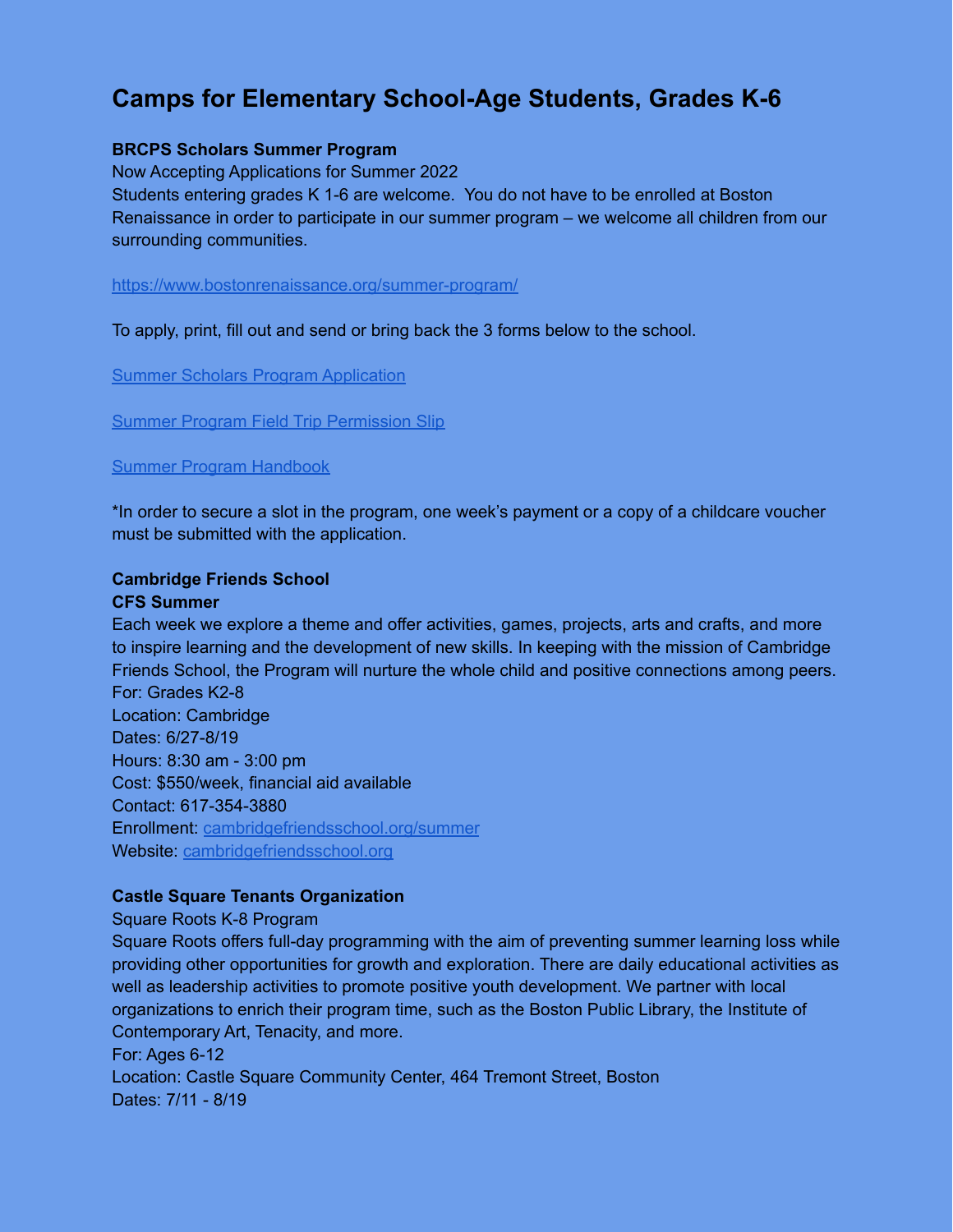# **Camps for Elementary School-Age Students, Grades K-6**

### **BRCPS Scholars Summer Program**

Now Accepting Applications for Summer 2022 Students entering grades K 1-6 are welcome. You do not have to be enrolled at Boston Renaissance in order to participate in our summer program – we welcome all children from our surrounding communities.

<https://www.bostonrenaissance.org/summer-program/>

To apply, print, fill out and send or bring back the 3 forms below to the school.

**Summer Scholars Program [Application](https://26xy2913jk341j8bt62je55l-wpengine.netdna-ssl.com/wp-content/uploads/Summer-Scholars-Program.pdf)** 

Summer Program Field Trip [Permission](https://26xy2913jk341j8bt62je55l-wpengine.netdna-ssl.com/wp-content/uploads/Summer-Program-Field-Trip-Permission-Slip.pdf) Slip

### Summer Program [Handbook](https://26xy2913jk341j8bt62je55l-wpengine.netdna-ssl.com/wp-content/uploads/Summer-Program-Handbook_2019.pdf)

\*In order to secure a slot in the program, one week's payment or a copy of a childcare voucher must be submitted with the application.

## **Cambridge Friends School**

### **CFS Summer**

Each week we explore a theme and offer activities, games, projects, arts and crafts, and more to inspire learning and the development of new skills. In keeping with the mission of Cambridge Friends School, the Program will nurture the whole child and positive connections among peers. For: Grades K2-8 Location: Cambridge Dates: 6/27-8/19 Hours: 8:30 am - 3:00 pm Cost: \$550/week, financial aid available Contact: 617-354-3880 Enrollment: [cambridgefriendsschool.org/summer](https://cambridgefriendsschool.org/summer/) Website: [cambridgefriendsschool.org](https://cambridgefriendsschool.org/)

### **Castle Square Tenants Organization**

Square Roots K-8 Program

Square Roots offers full-day programming with the aim of preventing summer learning loss while providing other opportunities for growth and exploration. There are daily educational activities as well as leadership activities to promote positive youth development. We partner with local organizations to enrich their program time, such as the Boston Public Library, the Institute of Contemporary Art, Tenacity, and more. For: Ages 6-12 Location: Castle Square Community Center, 464 Tremont Street, Boston

Dates: 7/11 - 8/19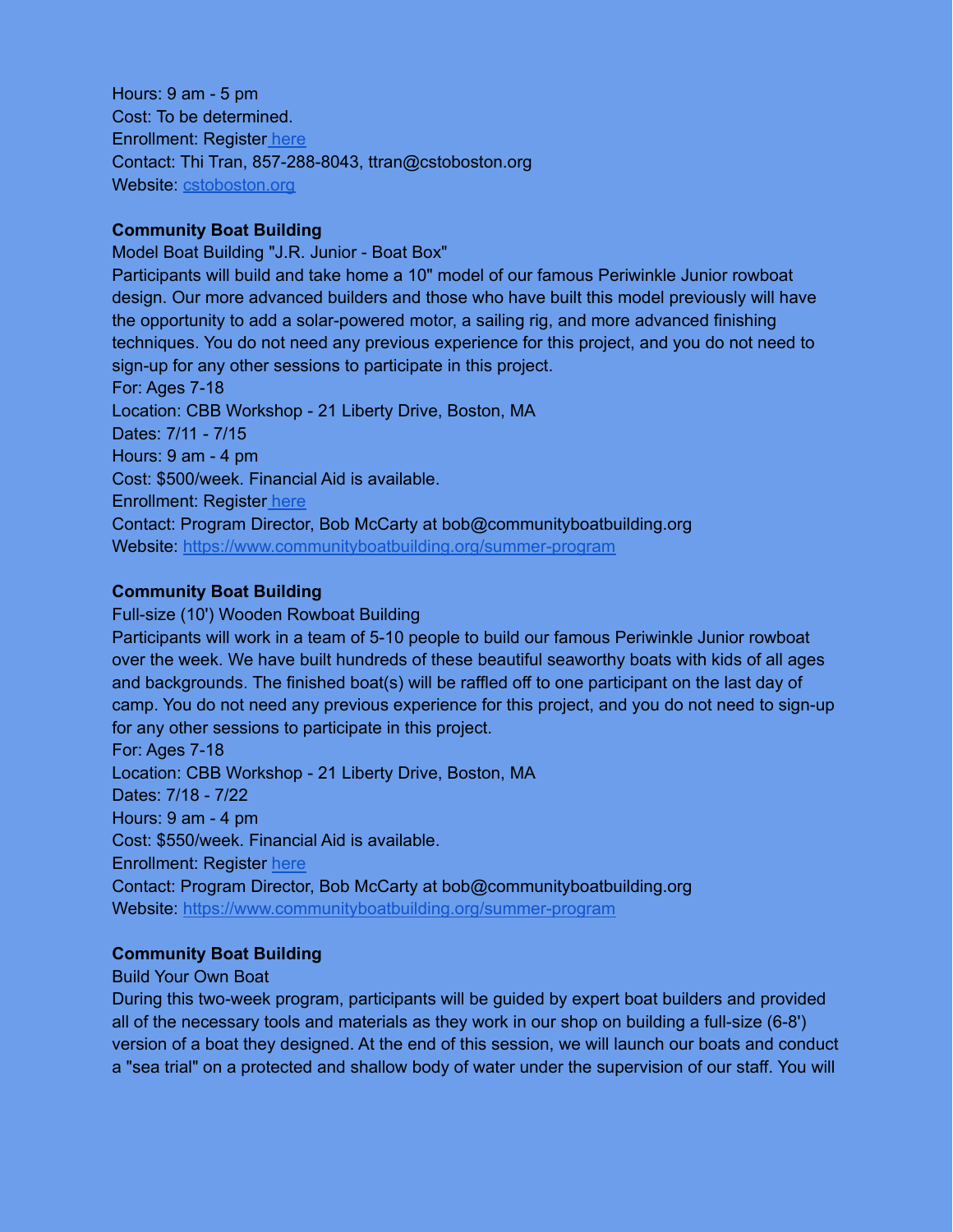Hours: 9 am - 5 pm Cost: To be determined. Enrollment: Register [here](https://www.bostonpublicschools.org/cstoboston.org/square-roots) Contact: Thi Tran, 857-288-8043, ttran@cstoboston.org Website: [cstoboston.org](https://www.bostonpublicschools.org/cstoboston.org)

### **Community Boat Building**

Model Boat Building "J.R. Junior - Boat Box" Participants will build and take home a 10" model of our famous Periwinkle Junior rowboat design. Our more advanced builders and those who have built this model previously will have the opportunity to add a solar-powered motor, a sailing rig, and more advanced finishing techniques. You do not need any previous experience for this project, and you do not need to sign-up for any other sessions to participate in this project. For: Ages 7-18 Location: CBB Workshop - 21 Liberty Drive, Boston, MA Dates: 7/11 - 7/15 Hours: 9 am - 4 pm Cost: \$500/week. Financial Aid is available. Enrollment: Register [here](https://campscui.active.com/orgs/CommunityBoatBuilding#/selectSessions/3106431) Contact: Program Director, Bob McCarty at bob@communityboatbuilding.org Website: <https://www.communityboatbuilding.org/summer-program>

### **Community Boat Building**

Full-size (10') Wooden Rowboat Building

Participants will work in a team of 5-10 people to build our famous Periwinkle Junior rowboat over the week. We have built hundreds of these beautiful seaworthy boats with kids of all ages and backgrounds. The finished boat(s) will be raffled off to one participant on the last day of camp. You do not need any previous experience for this project, and you do not need to sign-up for any other sessions to participate in this project. For: Ages 7-18 Location: CBB Workshop - 21 Liberty Drive, Boston, MA Dates: 7/18 - 7/22 Hours: 9 am - 4 pm Cost: \$550/week. Financial Aid is available. Enrollment: Register [here](https://campscui.active.com/orgs/CommunityBoatBuilding#/selectSessions/3106431)

Contact: Program Director, Bob McCarty at bob@communityboatbuilding.org Website: <https://www.communityboatbuilding.org/summer-program>

### **Community Boat Building**

Build Your Own Boat

During this two-week program, participants will be guided by expert boat builders and provided all of the necessary tools and materials as they work in our shop on building a full-size (6-8') version of a boat they designed. At the end of this session, we will launch our boats and conduct a "sea trial" on a protected and shallow body of water under the supervision of our staff. You will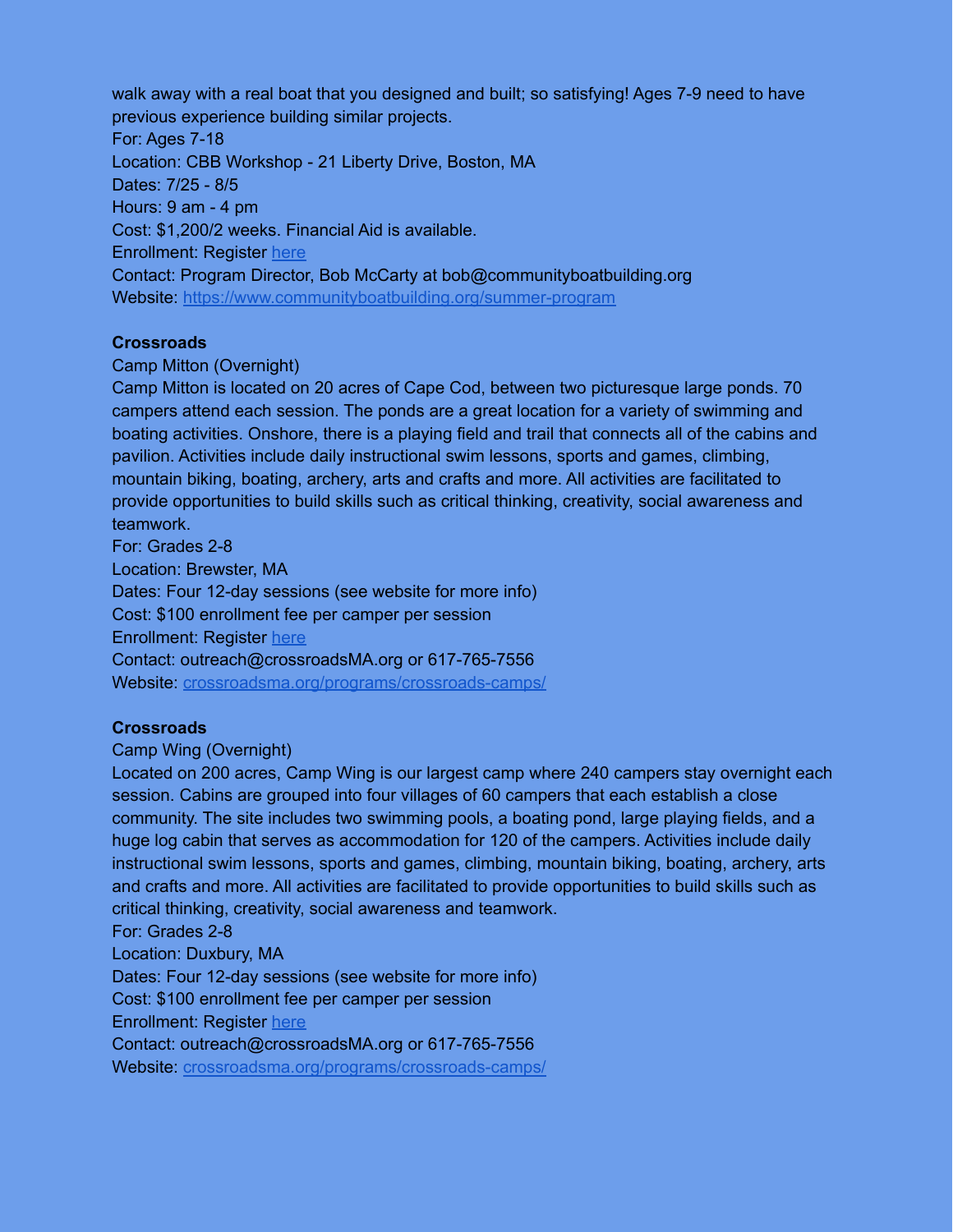walk away with a real boat that you designed and built; so satisfying! Ages 7-9 need to have previous experience building similar projects. For: Ages 7-18 Location: CBB Workshop - 21 Liberty Drive, Boston, MA Dates: 7/25 - 8/5 Hours: 9 am - 4 pm Cost: \$1,200/2 weeks. Financial Aid is available. Enrollment: Register [here](https://campscui.active.com/orgs/CommunityBoatBuilding#/selectSessions/3106431) Contact: Program Director, Bob McCarty at bob@communityboatbuilding.org Website: <https://www.communityboatbuilding.org/summer-program>

### **Crossroads**

### Camp Mitton (Overnight)

Camp Mitton is located on 20 acres of Cape Cod, between two picturesque large ponds. 70 campers attend each session. The ponds are a great location for a variety of swimming and boating activities. Onshore, there is a playing field and trail that connects all of the cabins and pavilion. Activities include daily instructional swim lessons, sports and games, climbing, mountain biking, boating, archery, arts and crafts and more. All activities are facilitated to provide opportunities to build skills such as critical thinking, creativity, social awareness and teamwork.

For: Grades 2-8 Location: Brewster, MA Dates: Four 12-day sessions (see website for more info) Cost: \$100 enrollment fee per camper per session Enrollment: Register [here](https://crossroadsma.org/programs/crossroads-camps/) Contact: outreach@crossroadsMA.org or 617-765-7556 Website: [crossroadsma.org/programs/crossroads-camps/](http://crossroadsma.org/programs/crossroads-camps/)

### **Crossroads**

### Camp Wing (Overnight)

Located on 200 acres, Camp Wing is our largest camp where 240 campers stay overnight each session. Cabins are grouped into four villages of 60 campers that each establish a close community. The site includes two swimming pools, a boating pond, large playing fields, and a huge log cabin that serves as accommodation for 120 of the campers. Activities include daily instructional swim lessons, sports and games, climbing, mountain biking, boating, archery, arts and crafts and more. All activities are facilitated to provide opportunities to build skills such as critical thinking, creativity, social awareness and teamwork.

For: Grades 2-8 Location: Duxbury, MA Dates: Four 12-day sessions (see website for more info) Cost: \$100 enrollment fee per camper per session Enrollment: Register [here](https://crossroadsma.org/programs/crossroads-camps/) Contact: outreach@crossroadsMA.org or 617-765-7556 Website: [crossroadsma.org/programs/crossroads-camps/](http://crossroadsma.org/programs/crossroads-camps/)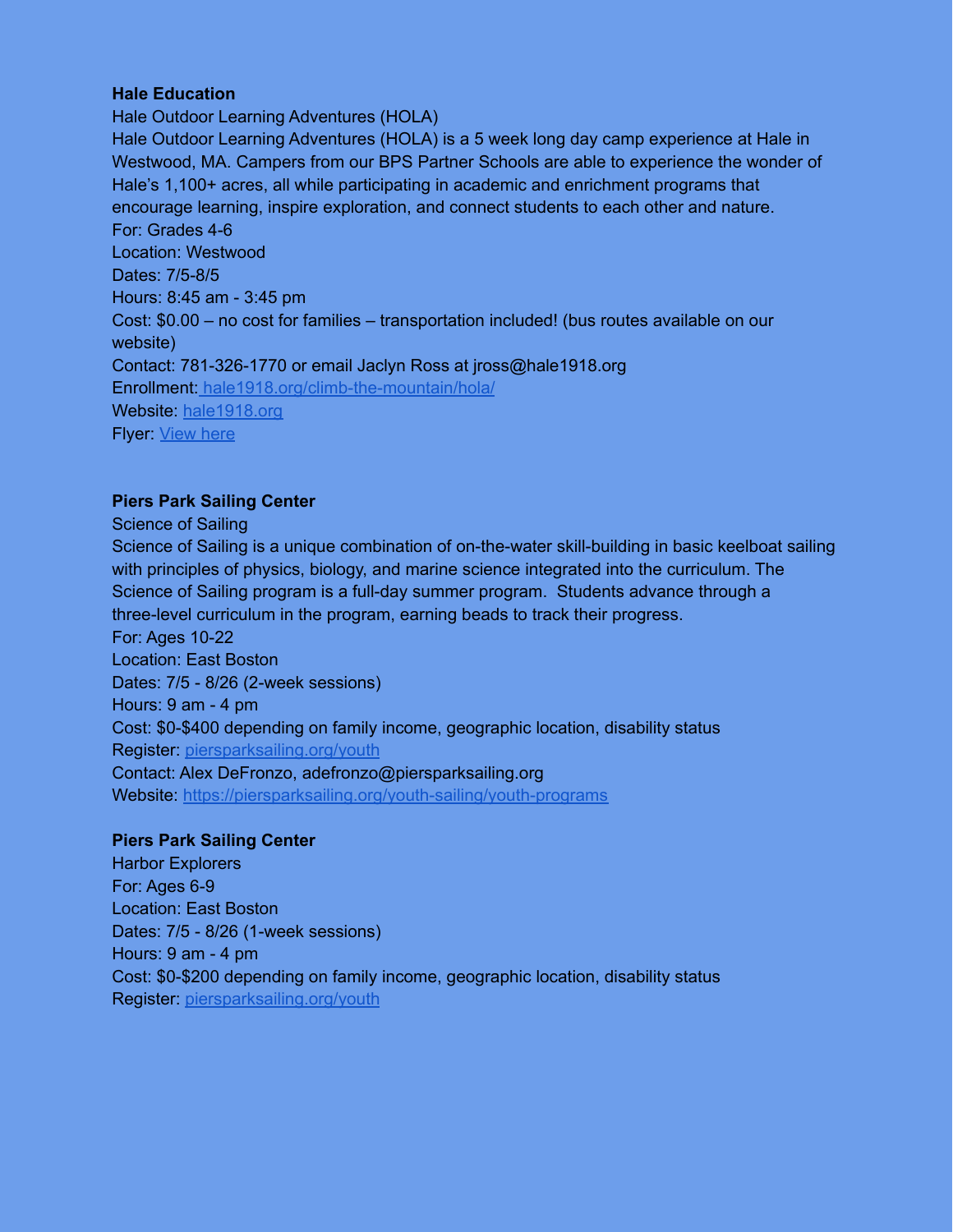### **Hale Education**

Hale Outdoor Learning Adventures (HOLA) Hale Outdoor Learning Adventures (HOLA) is a 5 week long day camp experience at Hale in Westwood, MA. Campers from our BPS Partner Schools are able to experience the wonder of Hale's 1,100+ acres, all while participating in academic and enrichment programs that encourage learning, inspire exploration, and connect students to each other and nature. For: Grades 4-6 Location: Westwood Dates: 7/5-8/5 Hours: 8:45 am - 3:45 pm Cost: \$0.00 – no cost for families – transportation included! (bus routes available on our website) Contact: 781-326-1770 or email Jaclyn Ross at jross@hale1918.org Enrollment: [hale1918.org/climb-the-mountain/hola/](https://cambridgefriendsschool.org/summer/) Website: [hale1918.org](https://cambridgefriendsschool.org/) Flyer: [View](https://drive.google.com/file/d/15lCYIBv0a48tZgZMO0P-uDzESo9QgvPu/view?usp=sharing) here

### **Piers Park Sailing Center**

Science of Sailing

Science of Sailing is a unique combination of on-the-water skill-building in basic keelboat sailing with principles of physics, biology, and marine science integrated into the curriculum. The Science of Sailing program is a full-day summer program. Students advance through a three-level curriculum in the program, earning beads to track their progress. For: Ages 10-22 Location: East Boston Dates: 7/5 - 8/26 (2-week sessions) Hours: 9 am - 4 pm Cost: \$0-\$400 depending on family income, geographic location, disability status Register: [piersparksailing.org/youth](http://piersparksailing.org/youth) Contact: Alex DeFronzo, adefronzo@piersparksailing.org Website: <https://piersparksailing.org/youth-sailing/youth-programs>

### **Piers Park Sailing Center**

Harbor Explorers For: Ages 6-9 Location: East Boston Dates: 7/5 - 8/26 (1-week sessions) Hours: 9 am - 4 pm Cost: \$0-\$200 depending on family income, geographic location, disability status Register: [piersparksailing.org/youth](http://piersparksailing.org/youth)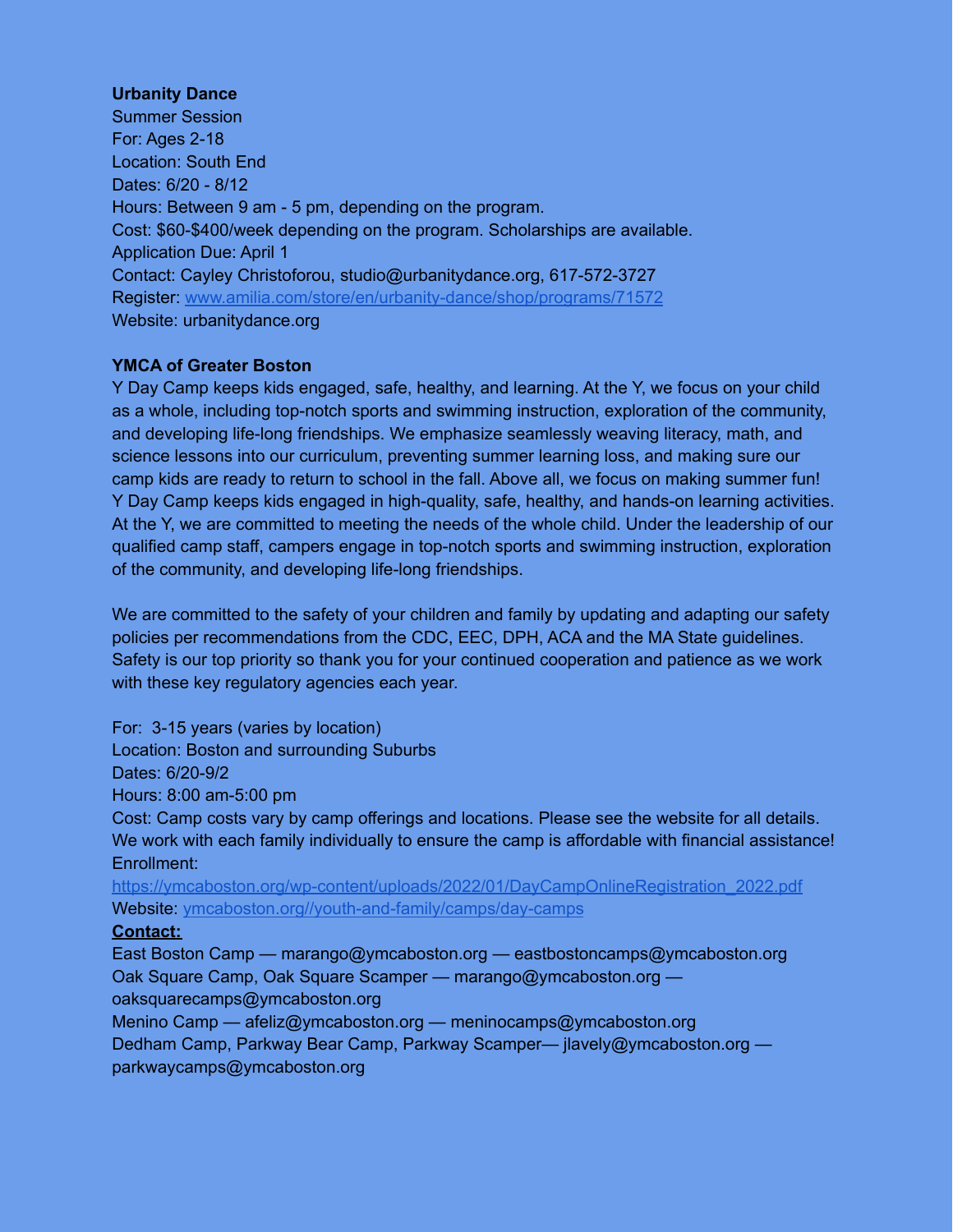### **Urbanity Dance**

Summer Session For: Ages 2-18 Location: South End Dates: 6/20 - 8/12 Hours: Between 9 am - 5 pm, depending on the program. Cost: \$60-\$400/week depending on the program. Scholarships are available. Application Due: April 1 Contact: Cayley Christoforou, studio@urbanitydance.org, 617-572-3727 Register: [www.amilia.com/store/en/urbanity-dance/shop/programs/71572](http://www.amilia.com/store/en/urbanity-dance/shop/programs/71572) Website: urbanitydance.org

### **YMCA of Greater Boston**

Y Day Camp keeps kids engaged, safe, healthy, and learning. At the Y, we focus on your child as a whole, including top-notch sports and swimming instruction, exploration of the community, and developing life-long friendships. We emphasize seamlessly weaving literacy, math, and science lessons into our curriculum, preventing summer learning loss, and making sure our camp kids are ready to return to school in the fall. Above all, we focus on making summer fun! Y Day Camp keeps kids engaged in high-quality, safe, healthy, and hands-on learning activities. At the Y, we are committed to meeting the needs of the whole child. Under the leadership of our qualified camp staff, campers engage in top-notch sports and swimming instruction, exploration of the community, and developing life-long friendships.

We are committed to the safety of your children and family by updating and adapting our safety policies per recommendations from the CDC, EEC, DPH, ACA and the MA State guidelines. Safety is our top priority so thank you for your continued cooperation and patience as we work with these key regulatory agencies each year.

For: 3-15 years (varies by location)

Location: Boston and surrounding Suburbs

Dates: 6/20-9/2

Hours: 8:00 am-5:00 pm

Cost: Camp costs vary by camp offerings and locations. Please see the website for all details. We work with each family individually to ensure the camp is affordable with financial assistance! Enrollment:

[https://ymcaboston.org/wp-content/uploads/2022/01/DayCampOnlineRegistration\\_2022.pdf](https://ymcaboston.org/wp-content/uploads/2022/01/DayCampOnlineRegistration_2022.pdf) Website: [ymcaboston.org//youth-and-family/camps/day-camps](https://ymcaboston.org/youth-and-family/camps/day-camps/)

### **Contact:**

East Boston Camp — marango@ymcaboston.org — eastbostoncamps@ymcaboston.org Oak Square Camp, Oak Square Scamper — marango@ymcaboston.org oaksquarecamps@ymcaboston.org Menino Camp — afeliz@ymcaboston.org — meninocamps@ymcaboston.org Dedham Camp, Parkway Bear Camp, Parkway Scamper— jlavely@ymcaboston.org —

parkwaycamps@ymcaboston.org